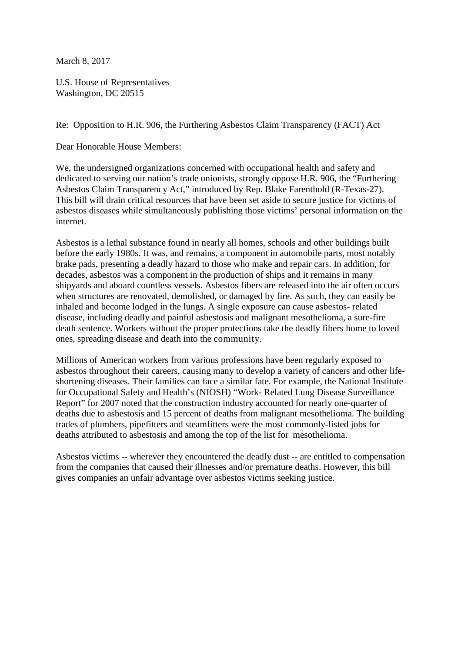March 8, 2017

U.S. House of Representatives Washington, DC 20515

Re: Opposition to H.R. 906, the Furthering Asbestos Claim Transparency (FACT) Act

Dear Honorable House Members:

We, the undersigned organizations concerned with occupational health and safety and dedicated to serving our nation's trade unionists, strongly oppose H.R. 906, the "Furthering Asbestos Claim Transparency Act," introduced by Rep. Blake Farenthold (R-Texas-27). This bill will drain critical resources that have been set aside to secure justice for victims of asbestos diseases while simultaneously publishing those victims' personal information on the internet.

Asbestos is a lethal substance found in nearly all homes, schools and other buildings built before the early 1980s. It was, and remains, a component in automobile parts, most notably brake pads, presenting a deadly hazard to those who make and repair cars. In addition, for decades, asbestos was a component in the production of ships and it remains in many shipyards and aboard countless vessels. Asbestos fibers are released into the air often occurs when structures are renovated, demolished, or damaged by fire. As such, they can easily be inhaled and become lodged in the lungs. A single exposure can cause asbestos- related disease, including deadly and painful asbestosis and malignant mesothelioma, a sure-fire death sentence. Workers without the proper protections take the deadly fibers home to loved ones, spreading disease and death into the community.

Millions of American workers from various professions have been regularly exposed to asbestos throughout their careers, causing many to develop a variety of cancers and other lifeshortening diseases. Their families can face a similar fate. For example, the National Institute for Occupational Safety and Health's (NIOSH) "Work- Related Lung Disease Surveillance Report" for 2007 noted that the construction industry accounted for nearly one-quarter of deaths due to asbestosis and 15 percent of deaths from malignant mesothelioma. The building trades of plumbers, pipefitters and steamfitters were the most commonly-listed jobs for deaths attributed to asbestosis and among the top of the list for mesothelioma.

Asbestos victims -- wherever they encountered the deadly dust -- are entitled to compensation from the companies that caused their illnesses and/or premature deaths. However, this bill gives companies an unfair advantage over asbestos victims seeking justice.